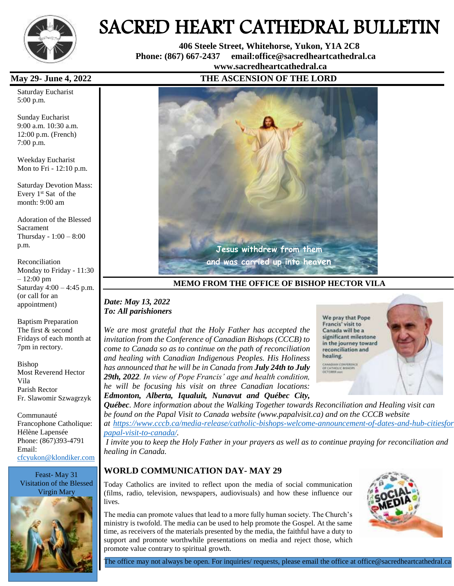

# SACRED HEART CATHEDRAL BULLETIN

 **406 Steele Street, Whitehorse, Yukon, Y1A 2C8 Phone: (867) 667-2437 email:office@sacredheartcathedral.ca [www.sacredheartcathedral.ca](http://www.sacredheartcathedral.ca/)**

Saturday Eucharist 5:00 p.m.

Sunday Eucharist 9:00 a.m. 10:30 a.m. 12:00 p.m. (French) 7:00 p.m.

Weekday Eucharist Mon to Fri - 12:10 p.m.

Saturday Devotion Mass: Every  $1<sup>st</sup>$  Sat of the month: 9:00 am

Adoration of the Blessed Sacrament Thursday - 1:00 – 8:00 p.m.

Reconciliation Monday to Friday - 11:30 – 12:00 pm Saturday 4:00 – 4:45 p.m. (or call for an appointment)

Baptism Preparation The first & second Fridays of each month at 7pm in rectory.

Bishop Most Reverend Hector Vila Parish Rector Fr. Slawomir Szwagrzyk

Communauté Francophone Catholique: Hélène Lapensée Phone: (867)393-4791 Email: [cfcyukon@klondiker.com](mailto:cfcyukon@klondiker.com)

Feast- May 31 Visitation of the Blessed Virgin Mary



### **May 29- June 4, 2022 THE ASCENSION OF THE LORD**



**MEMO FROM THE OFFICE OF BISHOP HECTOR VILA**

#### *Date: May 13, 2022 To: All parishioners*

*We are most grateful that the Holy Father has accepted the invitation from the Conference of Canadian Bishops (CCCB) to come to Canada so as to continue on the path of reconciliation and healing with Canadian Indigenous Peoples. His Holiness has announced that he will be in Canada from July 24th to July 29th, 2022. In view of Pope Francis' age and health condition, he will be focusing his visit on three Canadian locations: Edmonton, Alberta, Iqualuit, Nunavut and Québec City,* 



*Québec. More information about the Walking Together towards Reconciliation and Healing visit can be found on the Papal Visit to Canada website (www.papalvisit.ca) and on the CCCB website at [https://www.cccb.ca/media-release/catholic-bishops-welcome-announcement-of-dates-and-hub-citiesfor](https://www.cccb.ca/media-release/catholic-bishops-welcome-announcement-of-dates-and-hub-citiesfor-papal-visit-to-canada/)[papal-visit-to-canada/.](https://www.cccb.ca/media-release/catholic-bishops-welcome-announcement-of-dates-and-hub-citiesfor-papal-visit-to-canada/)*

*I invite you to keep the Holy Father in your prayers as well as to continue praying for reconciliation and healing in Canada.*

#### **WORLD COMMUNICATION DAY- MAY 29**

Today Catholics are invited to reflect upon the media of social communication (films, radio, television, newspapers, audiovisuals) and how these influence our lives.

The media can promote values that lead to a more fully human society. The Church's ministry is twofold. The media can be used to help promote the Gospel. At the same time, as receivers of the materials presented by the media, the faithful have a duty to support and promote worthwhile presentations on media and reject those, which promote value contrary to spiritual growth.



The office may not always be open. For inquiries/ requests, please email the office at office@sacredheartcathedral.ca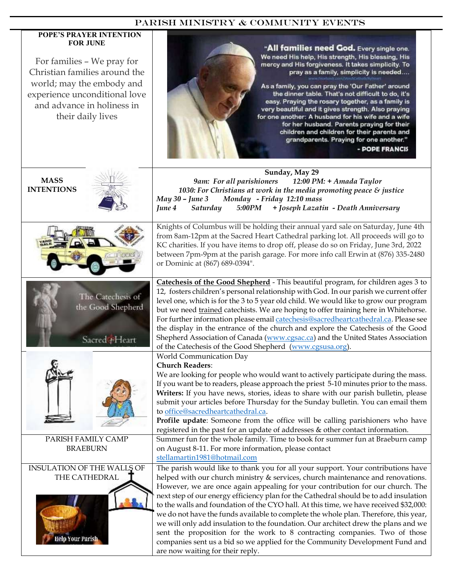#### PARISH MINISTRy & COMMUNITY EVENTS

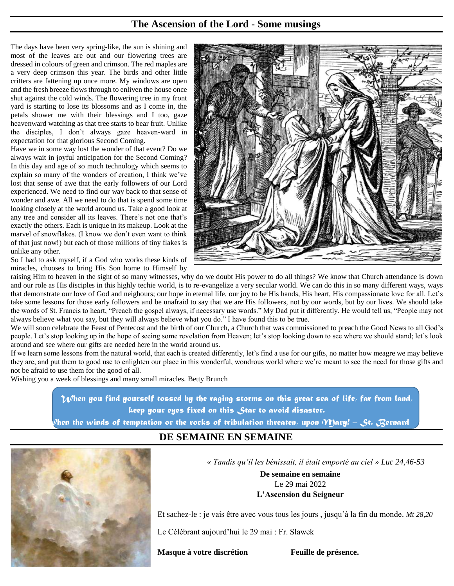## **The Ascension of the Lord - Some musings**

The days have been very spring-like, the sun is shining and most of the leaves are out and our flowering trees are dressed in colours of green and crimson. The red maples are a very deep crimson this year. The birds and other little critters are fattening up once more. My windows are open and the fresh breeze flows through to enliven the house once shut against the cold winds. The flowering tree in my front yard is starting to lose its blossoms and as I come in, the petals shower me with their blessings and I too, gaze heavenward watching as that tree starts to bear fruit. Unlike the disciples, I don't always gaze heaven-ward in expectation for that glorious Second Coming.

Have we in some way lost the wonder of that event? Do we always wait in joyful anticipation for the Second Coming? In this day and age of so much technology which seems to explain so many of the wonders of creation, I think we've lost that sense of awe that the early followers of our Lord experienced. We need to find our way back to that sense of wonder and awe. All we need to do that is spend some time looking closely at the world around us. Take a good look at any tree and consider all its leaves. There's not one that's exactly the others. Each is unique in its makeup. Look at the marvel of snowflakes. (I know we don't even want to think of that just now!) but each of those millions of tiny flakes is unlike any other.



So I had to ask myself, if a God who works these kinds of miracles, chooses to bring His Son home to Himself by

raising Him to heaven in the sight of so many witnesses, why do we doubt His power to do all things? We know that Church attendance is down and our role as His disciples in this highly techie world, is to re-evangelize a very secular world. We can do this in so many different ways, ways that demonstrate our love of God and neighours; our hope in eternal life, our joy to be His hands, His heart, His compassionate love for all. Let's take some lessons for those early followers and be unafraid to say that we are His followers, not by our words, but by our lives. We should take the words of St. Francis to heart, "Preach the gospel always, if necessary use words." My Dad put it differently. He would tell us, "People may not always believe what you say, but they will always believe what you do." I have found this to be true.

We will soon celebrate the Feast of Pentecost and the birth of our Church, a Church that was commissioned to preach the Good News to all God's people. Let's stop looking up in the hope of seeing some revelation from Heaven; let's stop looking down to see where we should stand; let's look around and see where our gifts are needed here in the world around us.

If we learn some lessons from the natural world, that each is created differently, let's find a use for our gifts, no matter how meagre we may believe they are, and put them to good use to enlighten our place in this wonderful, wondrous world where we're meant to see the need for those gifts and not be afraid to use them for the good of all.

Wishing you a week of blessings and many small miracles. Betty Brunch

 *When you find yourself tossed by the raging storms on this great sea of life, far from land, keep your eyes fixed on this Star to avoid disaster.* 

*When the winds of temptation or the rocks of tribulation threaten, upon Mary! – St. Bernard*

# **DE SEMAINE EN SEMAINE**



*look up t« Tandis qu'il les bénissait, il était emporté au ciel » Luc 24,46-53*

**De semaine en semaine** Le 29 mai 2022 **L'Ascension du Seigneur**

Et sachez-le : je vais être avec vous tous les jours , jusqu'à la fin du monde. *Mt 28,20*

Le Célébrant aujourd'hui le 29 mai : Fr. Slawek

#### **Masque à votre discrétion Feuille de présence.**